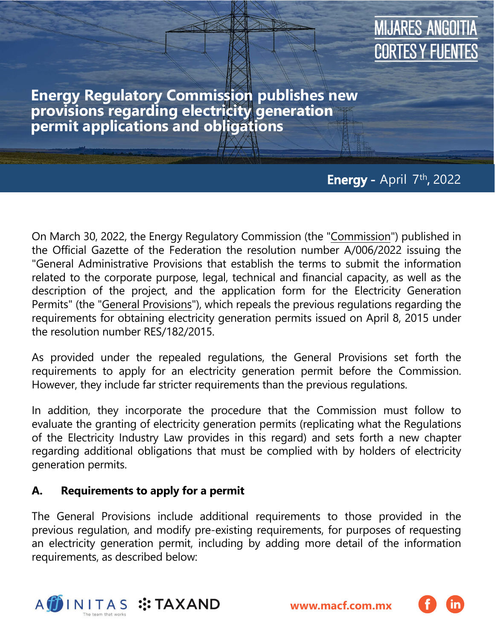### **MIJARES ANGOITIA** CORTES Y FUENTES

**Energy Regulatory Commission publishes new provisions regarding electricity generation permit applications and obligations**

### **Energy- -** April 7 th **,** 2022

On March 30, 2022, the Energy Regulatory Commission (the "Commission") published in the Official Gazette of the Federation the resolution number A/006/2022 issuing the "General Administrative Provisions that establish the terms to submit the information related to the corporate purpose, legal, technical and financial capacity, as well as the description of the project, and the application form for the Electricity Generation Permits" (the "General Provisions"), which repeals the previous regulations regarding the requirements for obtaining electricity generation permits issued on April 8, 2015 under the resolution number RES/182/2015.

As provided under the repealed regulations, the General Provisions set forth the requirements to apply for an electricity generation permit before the Commission. However, they include far stricter requirements than the previous regulations.

In addition, they incorporate the procedure that the Commission must follow to evaluate the granting of electricity generation permits (replicating what the Regulations of the Electricity Industry Law provides in this regard) and sets forth a new chapter regarding additional obligations that must be complied with by holders of electricity generation permits.

#### **A. Requirements to apply for a permit**

The General Provisions include additional requirements to those provided in the previous regulation, and modify pre-existing requirements, for purposes of requesting an electricity generation permit, including [by ad](https://macf.com.mx/administrador/assets/uploads/files/seasons/40362-client_alert_comments-on-the-bill-to-amend-the-mexican-constitution-in-electricity-matters_ing-vf.pdf)ding more detail of the information requirements, as described below:



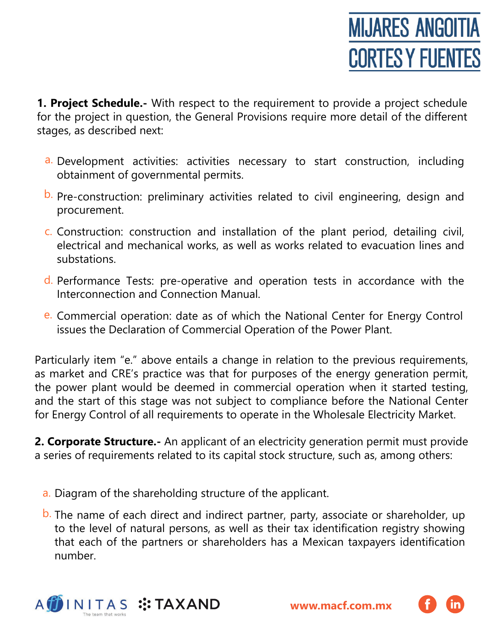**1. Project Schedule.-** With respect to the requirement to provide a project schedule for the project in question, the General Provisions require more detail of the different stages, as described next:

- a. Development activities: activities necessary to start construction, including obtainment of governmental permits.
- b. Pre-construction: preliminary activities related to civil engineering, design and procurement.
- c. Construction: construction and installation of the plant period, detailing civil, electrical and mechanical works, as well as works related to evacuation lines and substations.
- d. Performance Tests: pre-operative and operation tests in accordance with the Interconnection and Connection Manual.
- e. Commercial operation: date as of which the National Center for Energy Control issues the Declaration of Commercial Operation of the Power Plant.

Particularly item "e." above entails a change in relation to the previous requirements, as market and CRE's practice was that for purposes of the energy generation permit, the power plant would be deemed in commercial operation when it started testing, and the start of this stage was not subject to compliance before the National Center for Energy Control of all requirements to operate in the Wholesale Electricity Market.

**2. Corporate Structure.-** An applicant of an electricity generation permit must provide a series of requirements related to its capital stock structure, such as, among others:

- a. Diagram of the shareholding structure of the applicant.
- b. The name of each direct and indirect partner, party, associate or shareholder, up to the level of natural persons, as well as their tax identification registry showing that each of the partners or shareholders has a Mexican taxpayers identification number.



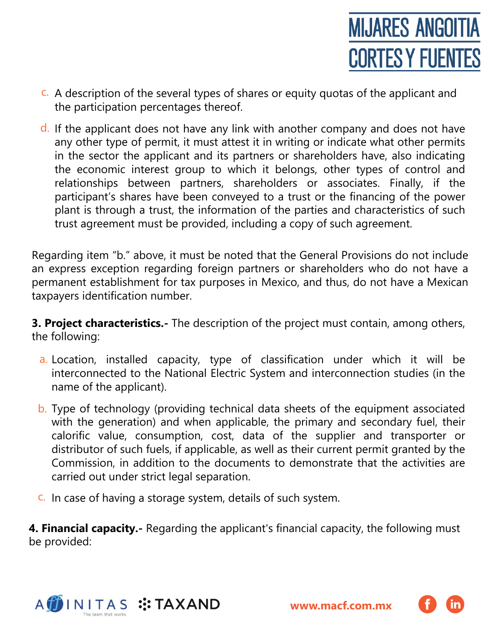

- c. A description of the several types of shares or equity quotas of the applicant and the participation percentages thereof.
- d. If the applicant does not have any link with another company and does not have any other type of permit, it must attest it in writing or indicate what other permits in the sector the applicant and its partners or shareholders have, also indicating the economic interest group to which it belongs, other types of control and relationships between partners, shareholders or associates. Finally, if the participant's shares have been conveyed to a trust or the financing of the power plant is through a trust, the information of the parties and characteristics of such trust agreement must be provided, including a copy of such agreement.

Regarding item "b." above, it must be noted that the General Provisions do not include an express exception regarding foreign partners or shareholders who do not have a permanent establishment for tax purposes in Mexico, and thus, do not have a Mexican taxpayers identification number.

**3. Project characteristics.-** The description of the project must contain, among others, the following:

- a Location, installed capacity, type of classification under which it will be interconnected to the National Electric System and interconnection studies (in the name of the applicant).
- b. Type of technology (providing technical data sheets of the equipment associated with the generation) and when applicable, the primary and secondary fuel, their calorific value, consumption, cost, data of the supplier and transporter or distributor of such fuels, if applicable, as well as their current permit granted by the Commission, in addition to the documents to demonstrate that the activities are carried out under strict legal separation.
- c. In case of having a storage system, details of such system.

**4. Financial capacity.-** Regarding the applicant's financial capacity, the following must be provided:



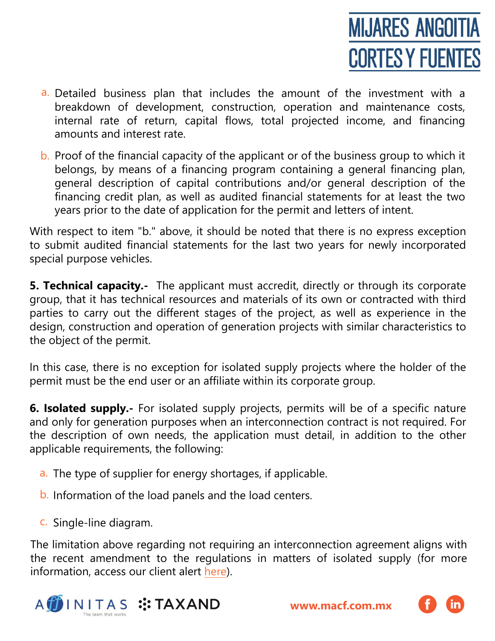

- a. Detailed business plan that includes the amount of the investment with a breakdown of development, construction, operation and maintenance costs, internal rate of return, capital flows, total projected income, and financing amounts and interest rate.
- b. Proof of the financial capacity of the applicant or of the business group to which it belongs, by means of a financing program containing a general financing plan, general description of capital contributions and/or general description of the financing credit plan, as well as audited financial statements for at least the two years prior to the date of application for the permit and letters of intent.

With respect to item "b." above, it should be noted that there is no express exception to submit audited financial statements for the last two years for newly incorporated special purpose vehicles.

**5. Technical capacity.-** The applicant must accredit, directly or through its corporate group, that it has technical resources and materials of its own or contracted with third parties to carry out the different stages of the project, as well as experience in the design, construction and operation of generation projects with similar characteristics to the object of the permit.

In this case, there is no exception for isolated supply projects where the holder of the permit must be the end user or an affiliate within its corporate group.

**6. Isolated supply.-** For isolated supply projects, permits will be of a specific nature and only for generation purposes when an interconnection contract is not required. For the description of own needs, the application must detail, in addition to the other applicable requirements, the following:

- a. The type of supplier for energy shortages, if applicable.
- b. Information of the load panels and the load centers.
- c. Single-line diagram.

The limitation above regarding not requiring an interconnection agreement aligns with the recent amendment to the regulations in matters of isolated supply (for more information, access our client alert [here\)](https://macf.com.mx/Energy-Regulatory-Commission-modifies-isolated-supply-regulations).



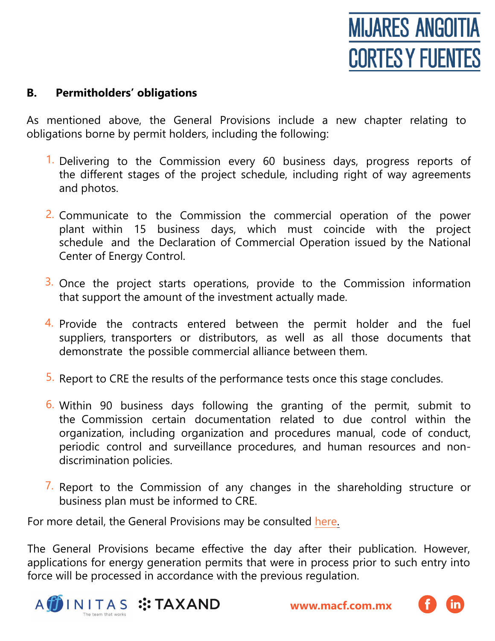# **MIJARES ANGOITIA CORTES Y FUENTES**

#### **B. Permitholders' obligations**

As mentioned above, the General Provisions include a new chapter relating to obligations borne by permit holders, including the following:

- 1. Delivering to the Commission every 60 business days, progress reports of the different stages of the project schedule, including right of way agreements and photos.
- 2. Communicate to the Commission the commercial operation of the power plant within 15 business days, which must coincide with the project schedule and the Declaration of Commercial Operation issued by the National Center of Energy Control.
- 3. Once the project starts operations, provide to the Commission information that support the amount of the investment actually made.
- 4. Provide the contracts entered between the permit holder and the fuel suppliers, transporters or distributors, as well as all those documents that demonstrate the possible commercial alliance between them.
- 5. Report to CRE the results of the performance tests once this stage concludes.
- 6. Within 90 business days following the granting of the permit, submit to the Commission certain documentation related to due control within the organization, including organization and procedures manual, code of conduct, periodic control and surveillance procedures, and human resources and nondiscrimination policies.
- $\overline{7}$ . Report to the Commission of any changes in the shareholding structure or business plan must be informed to CRE.

For more detail, the General Provisions may be consulted [here.](https://mcusercontent.com/c8423de7574c3e6eeac8f9f32/files/3122d0d3-0ac3-209a-44f4-80357a741585/DOF_Diario_Oficial_de_la_Federaci%C3%B3n.pdf)

The General Provisions became effective the day after their publication. However, applications for energy generation permits that were in process prior to such entry into force will be processed in accordance with the previous regulation.